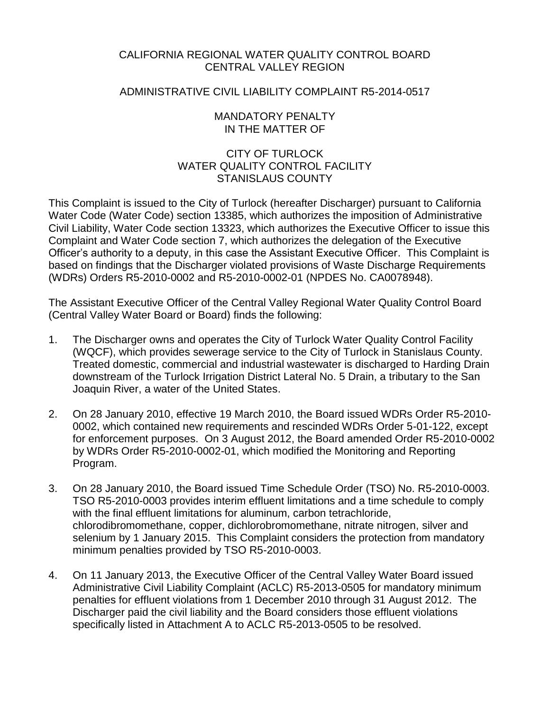### CALIFORNIA REGIONAL WATER QUALITY CONTROL BOARD CENTRAL VALLEY REGION

### ADMINISTRATIVE CIVIL LIABILITY COMPLAINT R5-2014-0517

### MANDATORY PENALTY IN THE MATTER OF

## CITY OF TURLOCK WATER QUALITY CONTROL FACILITY STANISLAUS COUNTY

This Complaint is issued to the City of Turlock (hereafter Discharger) pursuant to California Water Code (Water Code) section 13385, which authorizes the imposition of Administrative Civil Liability, Water Code section 13323, which authorizes the Executive Officer to issue this Complaint and Water Code section 7, which authorizes the delegation of the Executive Officer's authority to a deputy, in this case the Assistant Executive Officer. This Complaint is based on findings that the Discharger violated provisions of Waste Discharge Requirements (WDRs) Orders R5-2010-0002 and R5-2010-0002-01 (NPDES No. CA0078948).

The Assistant Executive Officer of the Central Valley Regional Water Quality Control Board (Central Valley Water Board or Board) finds the following:

- 1. The Discharger owns and operates the City of Turlock Water Quality Control Facility (WQCF), which provides sewerage service to the City of Turlock in Stanislaus County. Treated domestic, commercial and industrial wastewater is discharged to Harding Drain downstream of the Turlock Irrigation District Lateral No. 5 Drain, a tributary to the San Joaquin River, a water of the United States.
- 2. On 28 January 2010, effective 19 March 2010, the Board issued WDRs Order R5-2010- 0002, which contained new requirements and rescinded WDRs Order 5-01-122, except for enforcement purposes. On 3 August 2012, the Board amended Order R5-2010-0002 by WDRs Order R5-2010-0002-01, which modified the Monitoring and Reporting Program.
- 3. On 28 January 2010, the Board issued Time Schedule Order (TSO) No. R5-2010-0003. TSO R5-2010-0003 provides interim effluent limitations and a time schedule to comply with the final effluent limitations for aluminum, carbon tetrachloride, chlorodibromomethane, copper, dichlorobromomethane, nitrate nitrogen, silver and selenium by 1 January 2015. This Complaint considers the protection from mandatory minimum penalties provided by TSO R5-2010-0003.
- 4. On 11 January 2013, the Executive Officer of the Central Valley Water Board issued Administrative Civil Liability Complaint (ACLC) R5-2013-0505 for mandatory minimum penalties for effluent violations from 1 December 2010 through 31 August 2012. The Discharger paid the civil liability and the Board considers those effluent violations specifically listed in Attachment A to ACLC R5-2013-0505 to be resolved.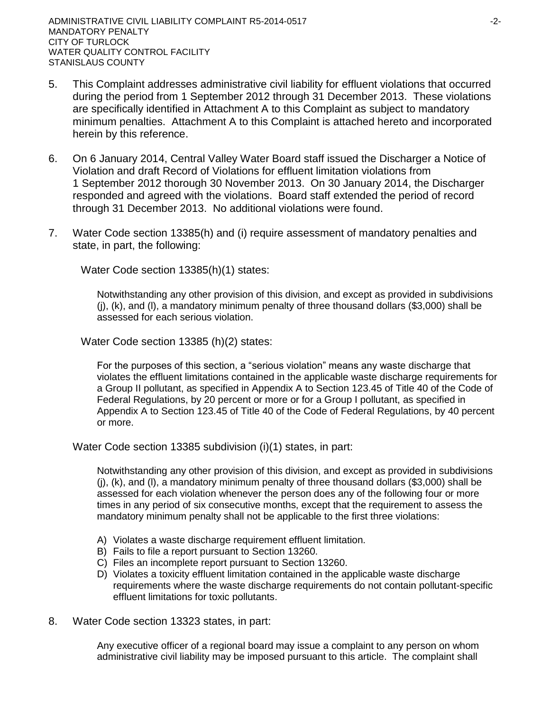- 5. This Complaint addresses administrative civil liability for effluent violations that occurred during the period from 1 September 2012 through 31 December 2013. These violations are specifically identified in Attachment A to this Complaint as subject to mandatory minimum penalties. Attachment A to this Complaint is attached hereto and incorporated herein by this reference.
- 6. On 6 January 2014, Central Valley Water Board staff issued the Discharger a Notice of Violation and draft Record of Violations for effluent limitation violations from 1 September 2012 thorough 30 November 2013. On 30 January 2014, the Discharger responded and agreed with the violations. Board staff extended the period of record through 31 December 2013. No additional violations were found.
- 7. Water Code section 13385(h) and (i) require assessment of mandatory penalties and state, in part, the following:

Water Code section 13385(h)(1) states:

Notwithstanding any other provision of this division, and except as provided in subdivisions (j), (k), and (l), a mandatory minimum penalty of three thousand dollars (\$3,000) shall be assessed for each serious violation.

Water Code section 13385 (h)(2) states:

For the purposes of this section, a "serious violation" means any waste discharge that violates the effluent limitations contained in the applicable waste discharge requirements for a Group II pollutant, as specified in Appendix A to Section 123.45 of Title 40 of the Code of Federal Regulations, by 20 percent or more or for a Group I pollutant, as specified in Appendix A to Section 123.45 of Title 40 of the Code of Federal Regulations, by 40 percent or more.

Water Code section 13385 subdivision (i)(1) states, in part:

Notwithstanding any other provision of this division, and except as provided in subdivisions  $(i)$ ,  $(k)$ , and  $(l)$ , a mandatory minimum penalty of three thousand dollars (\$3,000) shall be assessed for each violation whenever the person does any of the following four or more times in any period of six consecutive months, except that the requirement to assess the mandatory minimum penalty shall not be applicable to the first three violations:

- A) Violates a waste discharge requirement effluent limitation.
- B) Fails to file a report pursuant to Section 13260.
- C) Files an incomplete report pursuant to Section 13260.
- D) Violates a toxicity effluent limitation contained in the applicable waste discharge requirements where the waste discharge requirements do not contain pollutant-specific effluent limitations for toxic pollutants.
- 8. Water Code section 13323 states, in part:

Any executive officer of a regional board may issue a complaint to any person on whom administrative civil liability may be imposed pursuant to this article. The complaint shall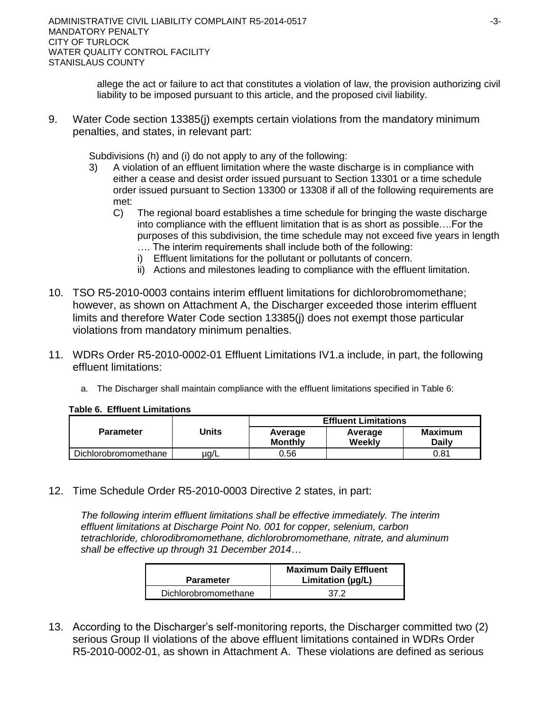allege the act or failure to act that constitutes a violation of law, the provision authorizing civil liability to be imposed pursuant to this article, and the proposed civil liability.

9. Water Code section 13385(j) exempts certain violations from the mandatory minimum penalties, and states, in relevant part:

Subdivisions (h) and (i) do not apply to any of the following:

- 3) A violation of an effluent limitation where the waste discharge is in compliance with either a cease and desist order issued pursuant to Section 13301 or a time schedule order issued pursuant to Section 13300 or 13308 if all of the following requirements are met:
	- C) The regional board establishes a time schedule for bringing the waste discharge into compliance with the effluent limitation that is as short as possible….For the purposes of this subdivision, the time schedule may not exceed five years in length
		- …. The interim requirements shall include both of the following: i) Effluent limitations for the pollutant or pollutants of concern.
		- ii) Actions and milestones leading to compliance with the effluent limitation.
- 10. TSO R5-2010-0003 contains interim effluent limitations for dichlorobromomethane; however, as shown on Attachment A, the Discharger exceeded those interim effluent limits and therefore Water Code section 13385(j) does not exempt those particular violations from mandatory minimum penalties.
- 11. WDRs Order R5-2010-0002-01 Effluent Limitations IV1.a include, in part, the following effluent limitations:
	- a. The Discharger shall maintain compliance with the effluent limitations specified in Table 6:

**Table 6. Effluent Limitations**

|                      | Units | <b>Effluent Limitations</b> |                   |                         |  |  |
|----------------------|-------|-----------------------------|-------------------|-------------------------|--|--|
| <b>Parameter</b>     |       | Average<br><b>Monthly</b>   | Average<br>Weekly | <b>Maximum</b><br>Dailv |  |  |
| Dichlorobromomethane | ug/L  | 0.56                        |                   | 0.81                    |  |  |

12. Time Schedule Order R5-2010-0003 Directive 2 states, in part:

*The following interim effluent limitations shall be effective immediately. The interim effluent limitations at Discharge Point No. 001 for copper, selenium, carbon tetrachloride, chlorodibromomethane, dichlorobromomethane, nitrate, and aluminum shall be effective up through 31 December 2014…*

| <b>Parameter</b>     | <b>Maximum Daily Effluent</b><br>Limitation $(\mu g/L)$ |  |  |
|----------------------|---------------------------------------------------------|--|--|
| Dichlorobromomethane | -37 2                                                   |  |  |

13. According to the Discharger's self-monitoring reports, the Discharger committed two (2) serious Group II violations of the above effluent limitations contained in WDRs Order R5-2010-0002-01, as shown in Attachment A. These violations are defined as serious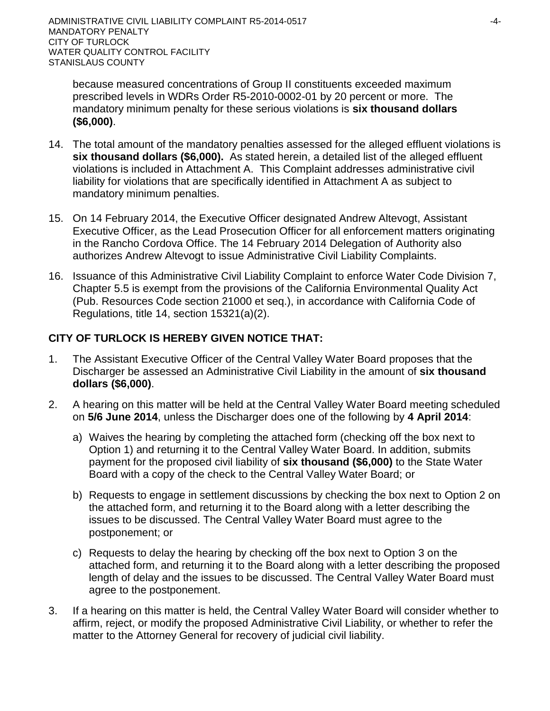because measured concentrations of Group II constituents exceeded maximum prescribed levels in WDRs Order R5-2010-0002-01 by 20 percent or more. The mandatory minimum penalty for these serious violations is **six thousand dollars (\$6,000)**.

- 14. The total amount of the mandatory penalties assessed for the alleged effluent violations is **six thousand dollars (\$6,000).** As stated herein, a detailed list of the alleged effluent violations is included in Attachment A. This Complaint addresses administrative civil liability for violations that are specifically identified in Attachment A as subject to mandatory minimum penalties.
- 15. On 14 February 2014, the Executive Officer designated Andrew Altevogt, Assistant Executive Officer, as the Lead Prosecution Officer for all enforcement matters originating in the Rancho Cordova Office. The 14 February 2014 Delegation of Authority also authorizes Andrew Altevogt to issue Administrative Civil Liability Complaints.
- 16. Issuance of this Administrative Civil Liability Complaint to enforce Water Code Division 7, Chapter 5.5 is exempt from the provisions of the California Environmental Quality Act (Pub. Resources Code section 21000 et seq.), in accordance with California Code of Regulations, title 14, section 15321(a)(2).

# **CITY OF TURLOCK IS HEREBY GIVEN NOTICE THAT:**

- 1. The Assistant Executive Officer of the Central Valley Water Board proposes that the Discharger be assessed an Administrative Civil Liability in the amount of **six thousand dollars (\$6,000)**.
- 2. A hearing on this matter will be held at the Central Valley Water Board meeting scheduled on **5/6 June 2014**, unless the Discharger does one of the following by **4 April 2014**:
	- a) Waives the hearing by completing the attached form (checking off the box next to Option 1) and returning it to the Central Valley Water Board. In addition, submits payment for the proposed civil liability of **six thousand (\$6,000)** to the State Water Board with a copy of the check to the Central Valley Water Board; or
	- b) Requests to engage in settlement discussions by checking the box next to Option 2 on the attached form, and returning it to the Board along with a letter describing the issues to be discussed. The Central Valley Water Board must agree to the postponement; or
	- c) Requests to delay the hearing by checking off the box next to Option 3 on the attached form, and returning it to the Board along with a letter describing the proposed length of delay and the issues to be discussed. The Central Valley Water Board must agree to the postponement.
- 3. If a hearing on this matter is held, the Central Valley Water Board will consider whether to affirm, reject, or modify the proposed Administrative Civil Liability, or whether to refer the matter to the Attorney General for recovery of judicial civil liability.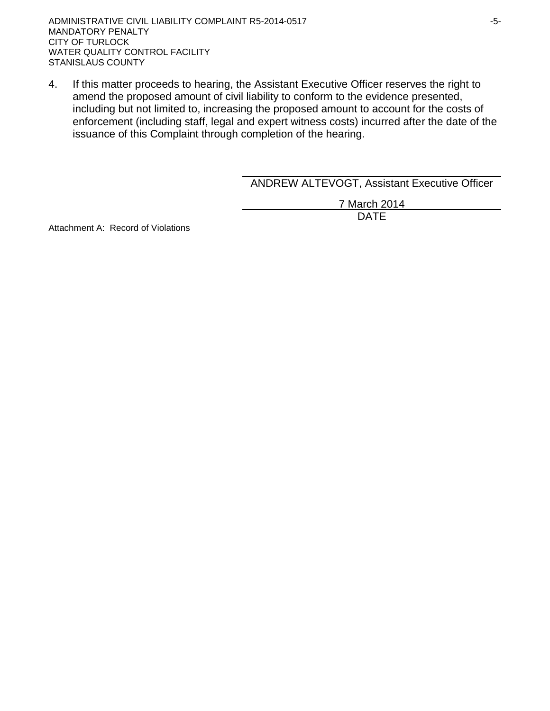4. If this matter proceeds to hearing, the Assistant Executive Officer reserves the right to amend the proposed amount of civil liability to conform to the evidence presented, including but not limited to, increasing the proposed amount to account for the costs of enforcement (including staff, legal and expert witness costs) incurred after the date of the issuance of this Complaint through completion of the hearing.

ANDREW ALTEVOGT, Assistant Executive Officer

7 March 2014 DATE

Attachment A: Record of Violations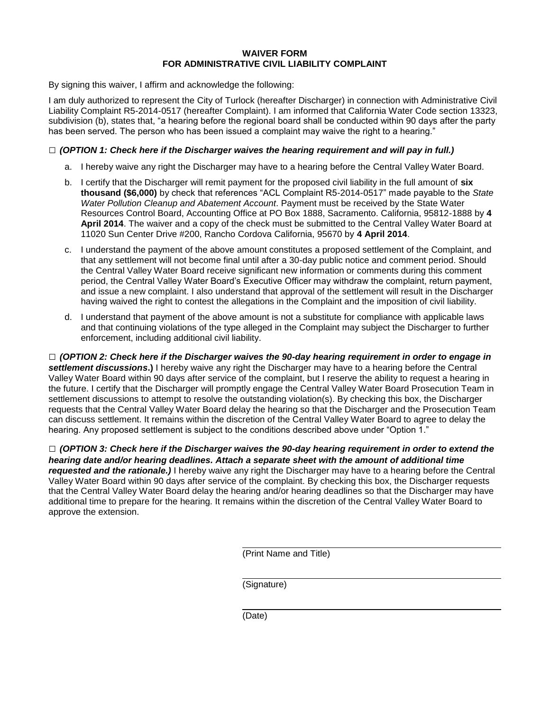#### **WAIVER FORM FOR ADMINISTRATIVE CIVIL LIABILITY COMPLAINT**

By signing this waiver, I affirm and acknowledge the following:

I am duly authorized to represent the City of Turlock (hereafter Discharger) in connection with Administrative Civil Liability Complaint R5-2014-0517 (hereafter Complaint). I am informed that California Water Code section 13323, subdivision (b), states that, "a hearing before the regional board shall be conducted within 90 days after the party has been served. The person who has been issued a complaint may waive the right to a hearing."

#### **□** *(OPTION 1: Check here if the Discharger waives the hearing requirement and will pay in full.)*

- a. I hereby waive any right the Discharger may have to a hearing before the Central Valley Water Board.
- b. I certify that the Discharger will remit payment for the proposed civil liability in the full amount of **six thousand (\$6,000)** by check that references "ACL Complaint R5-2014-0517" made payable to the *State Water Pollution Cleanup and Abatement Account*. Payment must be received by the State Water Resources Control Board, Accounting Office at PO Box 1888, Sacramento. California, 95812-1888 by **4 April 2014**. The waiver and a copy of the check must be submitted to the Central Valley Water Board at 11020 Sun Center Drive #200, Rancho Cordova California, 95670 by **4 April 2014**.
- c. I understand the payment of the above amount constitutes a proposed settlement of the Complaint, and that any settlement will not become final until after a 30-day public notice and comment period. Should the Central Valley Water Board receive significant new information or comments during this comment period, the Central Valley Water Board's Executive Officer may withdraw the complaint, return payment, and issue a new complaint. I also understand that approval of the settlement will result in the Discharger having waived the right to contest the allegations in the Complaint and the imposition of civil liability.
- d. I understand that payment of the above amount is not a substitute for compliance with applicable laws and that continuing violations of the type alleged in the Complaint may subject the Discharger to further enforcement, including additional civil liability.

**□** *(OPTION 2: Check here if the Discharger waives the 90-day hearing requirement in order to engage in settlement discussions***.)** I hereby waive any right the Discharger may have to a hearing before the Central Valley Water Board within 90 days after service of the complaint, but I reserve the ability to request a hearing in the future. I certify that the Discharger will promptly engage the Central Valley Water Board Prosecution Team in settlement discussions to attempt to resolve the outstanding violation(s). By checking this box, the Discharger requests that the Central Valley Water Board delay the hearing so that the Discharger and the Prosecution Team can discuss settlement. It remains within the discretion of the Central Valley Water Board to agree to delay the hearing. Any proposed settlement is subject to the conditions described above under "Option 1."

**□** *(OPTION 3: Check here if the Discharger waives the 90-day hearing requirement in order to extend the hearing date and/or hearing deadlines. Attach a separate sheet with the amount of additional time requested and the rationale.)* I hereby waive any right the Discharger may have to a hearing before the Central Valley Water Board within 90 days after service of the complaint. By checking this box, the Discharger requests that the Central Valley Water Board delay the hearing and/or hearing deadlines so that the Discharger may have additional time to prepare for the hearing. It remains within the discretion of the Central Valley Water Board to approve the extension.

(Print Name and Title)

(Signature)

(Date)